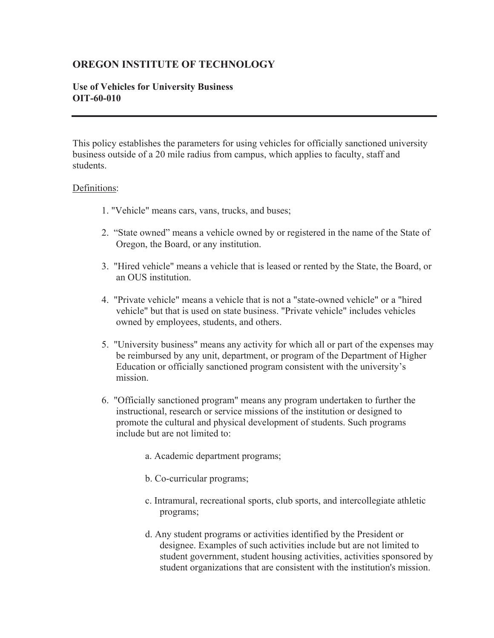## **OREGON INSTITUTE OF TECHNOLOGY**

## **Use of Vehicles for University Business OIT-60-010**

This policy establishes the parameters for using vehicles for officially sanctioned university business outside of a 20 mile radius from campus, which applies to faculty, staff and students.

## Definitions:

- 1. "Vehicle" means cars, vans, trucks, and buses;
- 2. "State owned" means a vehicle owned by or registered in the name of the State of Oregon, the Board, or any institution.
- 3. "Hired vehicle" means a vehicle that is leased or rented by the State, the Board, or an OUS institution.
- 4. "Private vehicle" means a vehicle that is not a "state-owned vehicle" or a "hired vehicle" but that is used on state business. "Private vehicle" includes vehicles owned by employees, students, and others.
- 5. "University business" means any activity for which all or part of the expenses may be reimbursed by any unit, department, or program of the Department of Higher Education or officially sanctioned program consistent with the university's mission.
- 6. "Officially sanctioned program" means any program undertaken to further the instructional, research or service missions of the institution or designed to promote the cultural and physical development of students. Such programs include but are not limited to:
	- a. Academic department programs;
	- b. Co-curricular programs;
	- c. Intramural, recreational sports, club sports, and intercollegiate athletic programs;
	- d. Any student programs or activities identified by the President or designee. Examples of such activities include but are not limited to student government, student housing activities, activities sponsored by student organizations that are consistent with the institution's mission.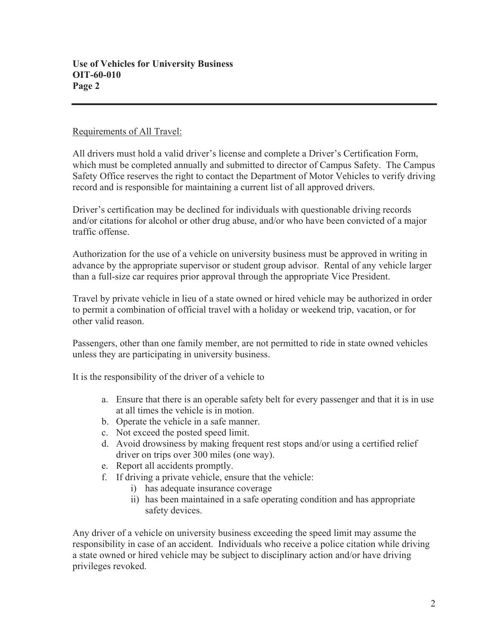## Requirements of All Travel:

All drivers must hold a valid driver's license and complete a Driver's Certification Form, which must be completed annually and submitted to director of Campus Safety. The Campus Safety Office reserves the right to contact the Department of Motor Vehicles to verify driving record and is responsible for maintaining a current list of all approved drivers.

Driver's certification may be declined for individuals with questionable driving records and/or citations for alcohol or other drug abuse, and/or who have been convicted of a major traffic offense.

Authorization for the use of a vehicle on university business must be approved in writing in advance by the appropriate supervisor or student group advisor. Rental of any vehicle larger than a full-size car requires prior approval through the appropriate Vice President.

Travel by private vehicle in lieu of a state owned or hired vehicle may be authorized in order to permit a combination of official travel with a holiday or weekend trip, vacation, or for other valid reason.

Passengers, other than one family member, are not permitted to ride in state owned vehicles unless they are participating in university business.

It is the responsibility of the driver of a vehicle to

- a. Ensure that there is an operable safety belt for every passenger and that it is in use at all times the vehicle is in motion.
- b. Operate the vehicle in a safe manner.
- c. Not exceed the posted speed limit.
- d. Avoid drowsiness by making frequent rest stops and/or using a certified relief driver on trips over 300 miles (one way).
- e. Report all accidents promptly.
- f. If driving a private vehicle, ensure that the vehicle:
	- i) has adequate insurance coverage
	- ii) has been maintained in a safe operating condition and has appropriate safety devices.

Any driver of a vehicle on university business exceeding the speed limit may assume the responsibility in case of an accident. Individuals who receive a police citation while driving a state owned or hired vehicle may be subject to disciplinary action and/or have driving privileges revoked.